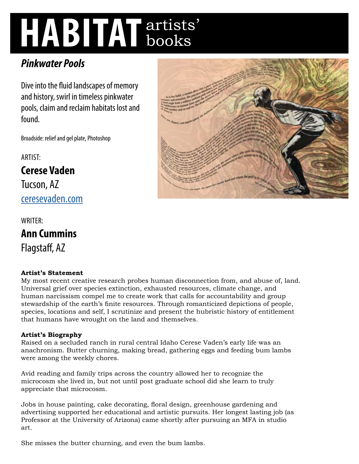# **HABITAT** artists' books

# *Pinkwater Pools*

Dive into the fluid landscapes of memory and history, swirl in timeless pinkwater pools, claim and reclaim habitats lost and found.

Broadside: relief and gel plate, Photoshop

ARTIST: **Cerese Vaden**  Tucson, AZ [ceresevaden.com](http://ceresevaden.com)

WRITER: **Ann Cummins**  Flagstaff, AZ

# **Artist's Statement**

My most recent creative research probes human disconnection from, and abuse of, land. Universal grief over species extinction, exhausted resources, climate change, and human narcissism compel me to create work that calls for accountability and group stewardship of the earth's finite resources. Through romanticized depictions of people, species, locations and self, I scrutinize and present the hubristic history of entitlement that humans have wrought on the land and themselves.

# **Artist's Biography**

Raised on a secluded ranch in rural central Idaho Cerese Vaden's early life was an anachronism. Butter churning, making bread, gathering eggs and feeding bum lambs were among the weekly chores.

Avid reading and family trips across the country allowed her to recognize the microcosm she lived in, but not until post graduate school did she learn to truly appreciate that microcosm.

Jobs in house painting, cake decorating, floral design, greenhouse gardening and advertising supported her educational and artistic pursuits. Her longest lasting job (as Professor at the University of Arizona) came shortly after pursuing an MFA in studio art.

She misses the butter churning, and even the bum lambs.